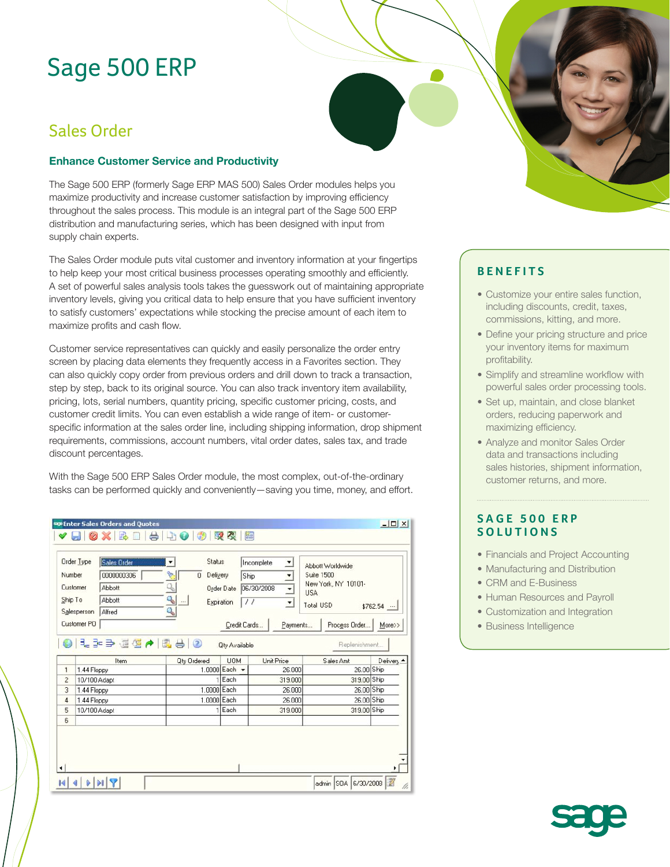# Sage 500 ERP

# Sales Order

### **Enhance Customer Service and Productivity**

The Sage 500 ERP (formerly Sage ERP MAS 500) Sales Order modules helps you maximize productivity and increase customer satisfaction by improving efficiency throughout the sales process. This module is an integral part of the Sage 500 ERP distribution and manufacturing series, which has been designed with input from supply chain experts.

The Sales Order module puts vital customer and inventory information at your fingertips to help keep your most critical business processes operating smoothly and efficiently. A set of powerful sales analysis tools takes the guesswork out of maintaining appropriate inventory levels, giving you critical data to help ensure that you have sufficient inventory to satisfy customers' expectations while stocking the precise amount of each item to maximize profits and cash flow.

Customer service representatives can quickly and easily personalize the order entry screen by placing data elements they frequently access in a Favorites section. They can also quickly copy order from previous orders and drill down to track a transaction, step by step, back to its original source. You can also track inventory item availability, pricing, lots, serial numbers, quantity pricing, specific customer pricing, costs, and customer credit limits. You can even establish a wide range of item- or customerspecific information at the sales order line, including shipping information, drop shipment requirements, commissions, account numbers, vital order dates, sales tax, and trade discount percentages.

With the Sage 500 ERP Sales Order module, the most complex, out-of-the-ordinary tasks can be performed quickly and conveniently—saving you time, money, and effort.

|                | Order Type                  | Sales Order                  | Status             |                        | Incomplete<br>$\overline{ }$ | Abbott Worldwide                  |            |
|----------------|-----------------------------|------------------------------|--------------------|------------------------|------------------------------|-----------------------------------|------------|
| Number         |                             | 0000000306                   | Delivery<br>0      | Ship                   | ۰                            | Suite 1500                        |            |
|                | Customer                    | Abbott                       |                    | <b>Order Date</b>      | 06/30/2008<br>≛              | New York, NY 10101-<br><b>USA</b> |            |
| Ship To        |                             | Abbott                       | ą,<br>$\ldots$     | Expiration<br>$\prime$ | $\blacktriangledown$         | <b>Total USD</b>                  |            |
|                | Salesperson                 | Alfred                       | ٩                  |                        |                              |                                   | $$762.54$  |
|                | Customer PO                 |                              |                    | Credit Cards           | Payments                     | Process Order                     | More>>     |
|                |                             |                              |                    |                        |                              |                                   |            |
|                |                             | 9   3- 3- 3- 표정 수   3- 9   3 |                    | <b>Qty Available</b>   |                              | Replenishment.                    |            |
|                |                             | Item                         | <b>Qty Ordered</b> | <b>UOM</b>             | Unit Price                   | Sales Amt                         | Delivery   |
| 1              | 1.44 Floppy                 |                              |                    | 1.0000 Each -          | 26,000                       |                                   | 26.00 Ship |
| $\overline{c}$ | 10/100 Adapt                |                              |                    | $1$ Each               | 319.000                      | 319.00 Ship                       |            |
| 3              | 1.44 Floppy                 |                              | 1.0000 Each        |                        | 26,000                       |                                   | 26.00 Ship |
| 4<br>5         | 1.44 Floppy<br>10/100 Adapt |                              | 1.0000 Each        | $1$ Each               | 26,000<br>319.000            | 319.00 Ship                       | 26.00 Ship |

## **BENEFITS**

- Customize your entire sales function, including discounts, credit, taxes, commissions, kitting, and more.
- Define your pricing structure and price your inventory items for maximum profitability.
- Simplify and streamline workflow with powerful sales order processing tools.
- Set up, maintain, and close blanket orders, reducing paperwork and maximizing efficiency.
- Analyze and monitor Sales Order data and transactions including sales histories, shipment information, customer returns, and more.

### **SAGE 500 ERP SOLUTIONS**

- Financials and Project Accounting
- Manufacturing and Distribution
- CRM and E-Business
- Human Resources and Payroll
- Customization and Integration
- Business Intelligence